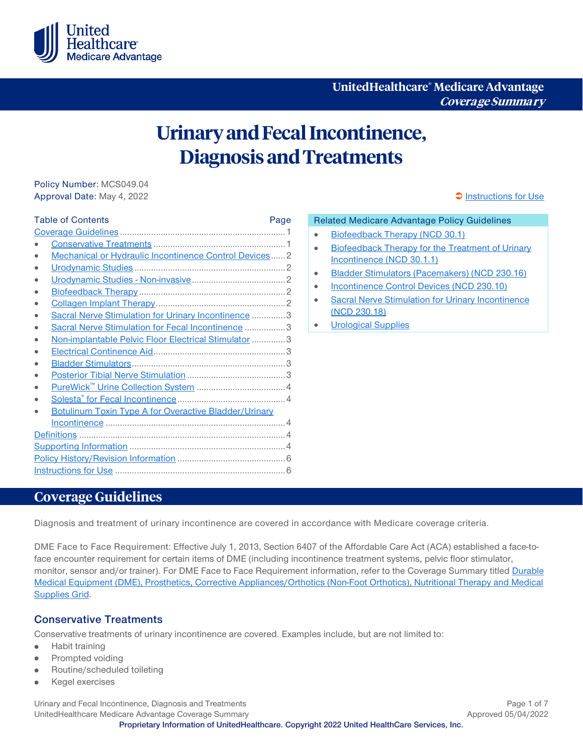

**UnitedHealthcare® Medicare Advantage Coverage Summary**

# **Urinary and Fecal Incontinence, Diagnosis and Treatments**

Policy Number: MCS049.04 Approval Date: May 4, 2022 **[Instructions for Use](#page-5-0)** Approval Date: May 4, 2022

| <b>Table of Contents</b>                                     | Page |
|--------------------------------------------------------------|------|
|                                                              |      |
|                                                              |      |
| Mechanical or Hydraulic Incontinence Control Devices 2       |      |
|                                                              |      |
|                                                              |      |
|                                                              |      |
|                                                              |      |
| Sacral Nerve Stimulation for Urinary Incontinence  3         |      |
| Sacral Nerve Stimulation for Fecal Incontinence  3           |      |
| Non-implantable Pelvic Floor Electrical Stimulator  3        |      |
|                                                              |      |
|                                                              |      |
|                                                              |      |
|                                                              |      |
|                                                              |      |
| <b>Botulinum Toxin Type A for Overactive Bladder/Urinary</b> |      |
|                                                              |      |
|                                                              |      |
|                                                              |      |
|                                                              |      |
|                                                              |      |

#### Related Medicare Advantage Policy Guidelines

- [Biofeedback Therapy \(NCD 30.1\)](https://www.uhcprovider.com/content/dam/provider/docs/public/policies/medadv-guidelines/b/biofeedback-therapy.pdf)
- [Biofeedback Therapy for the Treatment of Urinary](https://www.uhcprovider.com/content/dam/provider/docs/public/policies/medadv-guidelines/b/biofeedback-therapy-treatment-urinary-incontinence.pdf)  [Incontinence \(NCD 30.1.1\)](https://www.uhcprovider.com/content/dam/provider/docs/public/policies/medadv-guidelines/b/biofeedback-therapy-treatment-urinary-incontinence.pdf)
- [Bladder Stimulators \(Pacemakers\) \(NCD 230.16\)](https://www.uhcprovider.com/content/dam/provider/docs/public/policies/medadv-guidelines/b/bladder-stimulators-pacemakers.pdf)
- [Incontinence Control Devices \(NCD 230.10\)](https://www.uhcprovider.com/content/dam/provider/docs/public/policies/medadv-guidelines/i/incontinence-control-devices.pdf)
- [Sacral Nerve Stimulation for Urinary Incontinence](https://www.uhcprovider.com/content/dam/provider/docs/public/policies/medadv-guidelines/s/sacral-nerve-stimulation-urinary-incontinence.pdf)  [\(NCD 230.18\)](https://www.uhcprovider.com/content/dam/provider/docs/public/policies/medadv-guidelines/s/sacral-nerve-stimulation-urinary-incontinence.pdf)
- [Urological Supplies](https://www.uhcprovider.com/content/dam/provider/docs/public/policies/medadv-guidelines/u/urological-supplies.pdf)

### <span id="page-0-0"></span>**Coverage Guidelines**

Diagnosis and treatment of urinary incontinence are covered in accordance with Medicare coverage criteria.

DME Face to Face Requirement: Effective July 1, 2013, Section 6407 of the Affordable Care Act (ACA) established a face-toface encounter requirement for certain items of DME (including incontinence treatment systems, pelvic floor stimulator, monitor, sensor and/or trainer). For DME Face to Face Requirement information, refer to the Coverage Summary titled Durable [Medical Equipment \(DME\), Prosthetics, Corrective Appliances/Orthotics \(Non-Foot Orthotics\), Nutritional Therapy and Medical](https://www.uhcprovider.com/content/dam/provider/docs/public/policies/medadv-coverage-sum/dme-prosthetics-appliances-nutritional-supplies-grid.pdf)  [Supplies Grid.](https://www.uhcprovider.com/content/dam/provider/docs/public/policies/medadv-coverage-sum/dme-prosthetics-appliances-nutritional-supplies-grid.pdf)

#### <span id="page-0-1"></span>**Conservative Treatments**

Conservative treatments of urinary incontinence are covered. Examples include, but are not limited to:

- Habit training  $\bullet$
- Prompted voiding ٠
- Routine/scheduled toileting
- Kegel exercises

Urinary and Fecal Incontinence, Diagnosis and Treatments **Page 1 of 7** and Treatments **Page 1 of 7** and Page 1 of 7 UnitedHealthcare Medicare Advantage Coverage Summary **Approved 05/04/2022 Proprietary Information of UnitedHealthcare. Copyright 2022 United HealthCare Services, Inc.**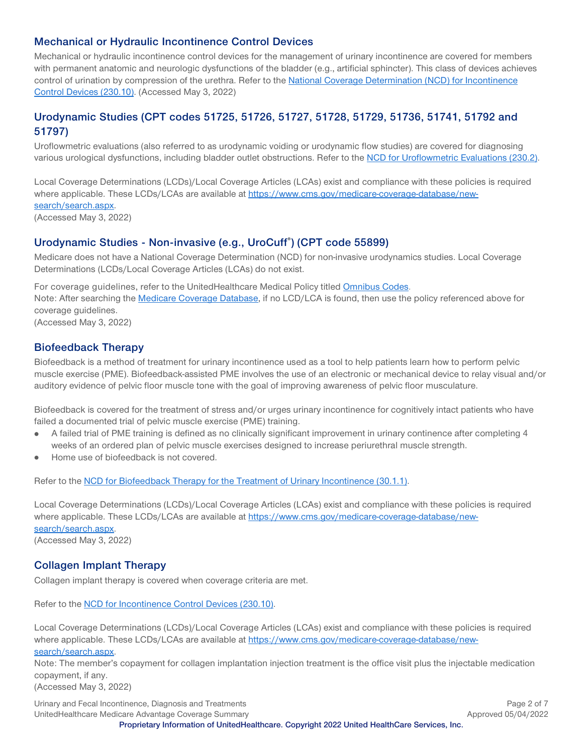#### <span id="page-1-0"></span>**Mechanical or Hydraulic Incontinence Control Devices**

Mechanical or hydraulic incontinence control devices for the management of urinary incontinence are covered for members with permanent anatomic and neurologic dysfunctions of the bladder (e.g., artificial sphincter). This class of devices achieves control of urination by compression of the urethra. Refer to the [National Coverage Determination \(NCD\) for Incontinence](http://www.cms.gov/medicare-coverage-database/details/ncd-details.aspx?NCDId=241&ncdver=1&DocID=230.10&bc=gAAAAAgAAAAAAA%3d%3d&)  [Control Devices \(230.10\).](http://www.cms.gov/medicare-coverage-database/details/ncd-details.aspx?NCDId=241&ncdver=1&DocID=230.10&bc=gAAAAAgAAAAAAA%3d%3d&) (Accessed May 3, 2022)

#### <span id="page-1-1"></span>**Urodynamic Studies (CPT codes 51725, 51726, 51727, 51728, 51729, 51736, 51741, 51792 and 51797)**

Uroflowmetric evaluations (also referred to as urodynamic voiding or urodynamic flow studies) are covered for diagnosing various urological dysfunctions, including bladder outlet obstructions. Refer to the [NCD for Uroflowmetric Evaluations \(230.2\).](http://www.cms.gov/medicare-coverage-database/details/ncd-details.aspx?NCDId=202&ncdver=1&DocID=230.2&bc=gAAAAAgAAAAAAA%3d%3d&)

Local Coverage Determinations (LCDs)/Local Coverage Articles (LCAs) exist and compliance with these policies is required where applicable. These LCDs/LCAs are available at [https://www.cms.gov/medicare-coverage-database/new](https://www.cms.gov/medicare-coverage-database/new-search/search.aspx)[search/search.aspx.](https://www.cms.gov/medicare-coverage-database/new-search/search.aspx) (Accessed May 3, 2022)

#### <span id="page-1-2"></span>**Urodynamic Studies - Non-invasive (e.g., UroCuff® ) (CPT code 55899)**

Medicare does not have a National Coverage Determination (NCD) for non-invasive urodynamics studies. Local Coverage Determinations (LCDs/Local Coverage Articles (LCAs) do not exist.

For coverage guidelines, refer to the UnitedHealthcare Medical Policy titled [Omnibus Codes.](https://www.uhcprovider.com/content/dam/provider/docs/public/policies/comm-medical-drug/omnibus-codes.pdf) Note: After searching the [Medicare Coverage Database,](http://www.cms.gov/medicare-coverage-database/overview-and-quick-search.aspx) if no LCD/LCA is found, then use the policy referenced above for coverage guidelines. (Accessed May 3, 2022)

#### <span id="page-1-3"></span>**Biofeedback Therapy**

Biofeedback is a method of treatment for urinary incontinence used as a tool to help patients learn how to perform pelvic muscle exercise (PME). Biofeedback-assisted PME involves the use of an electronic or mechanical device to relay visual and/or auditory evidence of pelvic floor muscle tone with the goal of improving awareness of pelvic floor musculature.

Biofeedback is covered for the treatment of stress and/or urges urinary incontinence for cognitively intact patients who have failed a documented trial of pelvic muscle exercise (PME) training.

- A failed trial of PME training is defined as no clinically significant improvement in urinary continence after completing 4  $\bullet$ weeks of an ordered plan of pelvic muscle exercises designed to increase periurethral muscle strength.
- Home use of biofeedback is not covered.  $\bullet$

Refer to the [NCD for Biofeedback Therapy for the Treatment of Urinary Incontinence \(30.1.1\).](http://www.cms.gov/medicare-coverage-database/details/ncd-details.aspx?NCDId=42&ncdver=1&DocID=30.1.1&bc=gAAAAAgAAAAAAA%3d%3d&)

Local Coverage Determinations (LCDs)/Local Coverage Articles (LCAs) exist and compliance with these policies is required where applicable. These LCDs/LCAs are available at [https://www.cms.gov/medicare-coverage-database/new](https://www.cms.gov/medicare-coverage-database/new-search/search.aspx)[search/search.aspx.](https://www.cms.gov/medicare-coverage-database/new-search/search.aspx) (Accessed May 3, 2022)

<span id="page-1-4"></span>**Collagen Implant Therapy**

Collagen implant therapy is covered when coverage criteria are met.

Refer to the [NCD for Incontinence Control Devices \(230.10\).](http://www.cms.gov/medicare-coverage-database/details/ncd-details.aspx?NCDId=241&ncdver=1&DocID=230.10&bc=gAAAAAgAAAAAAA%3d%3d&) 

Local Coverage Determinations (LCDs)/Local Coverage Articles (LCAs) exist and compliance with these policies is required where applicable. These LCDs/LCAs are available at [https://www.cms.gov/medicare-coverage-database/new](https://www.cms.gov/medicare-coverage-database/new-search/search.aspx)[search/search.aspx.](https://www.cms.gov/medicare-coverage-database/new-search/search.aspx)

Note: The member's copayment for collagen implantation injection treatment is the office visit plus the injectable medication copayment, if any.

(Accessed May 3, 2022)

Urinary and Fecal Incontinence, Diagnosis and Treatments **Page 2 of 7** and Treatments **Page 2 of 7** and Treatments **Page 2** of 7 UnitedHealthcare Medicare Advantage Coverage Summary **Approved 05/04/2022 Proprietary Information of UnitedHealthcare. Copyright 2022 United HealthCare Services, Inc.**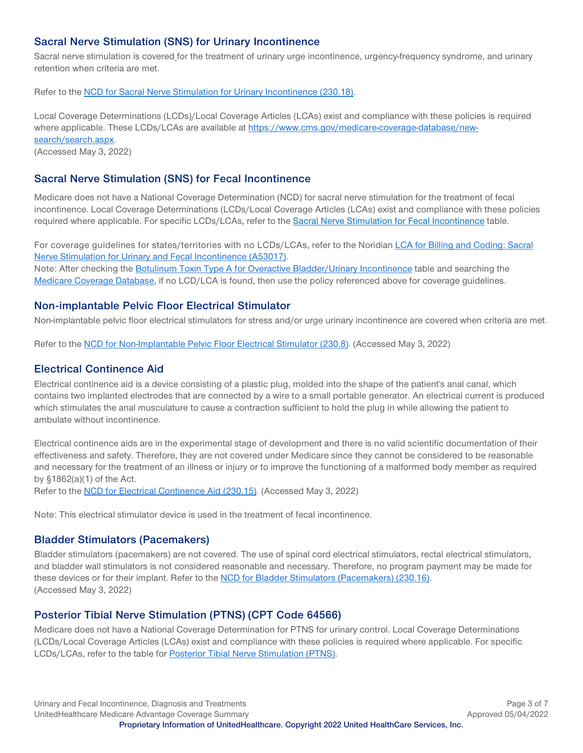#### <span id="page-2-0"></span>**Sacral Nerve Stimulation (SNS) for Urinary Incontinence**

Sacral nerve stimulation is covered\_for the treatment of urinary urge incontinence, urgency-frequency syndrome, and urinary retention when criteria are met.

Refer to the [NCD for Sacral Nerve Stimulation for Urinary Incontinence \(230.18\).](http://www.cms.gov/medicare-coverage-database/details/ncd-details.aspx?NCDId=249&ncdver=1&DocID=230.18&bc=gAAAAAgAAAAAAA%3d%3d&)

Local Coverage Determinations (LCDs)/Local Coverage Articles (LCAs) exist and compliance with these policies is required where applicable. These LCDs/LCAs are available at [https://www.cms.gov/medicare-coverage-database/new](https://www.cms.gov/medicare-coverage-database/new-search/search.aspx)[search/search.aspx.](https://www.cms.gov/medicare-coverage-database/new-search/search.aspx)

(Accessed May 3, 2022)

#### <span id="page-2-1"></span>**Sacral Nerve Stimulation (SNS) for Fecal Incontinence**

Medicare does not have a National Coverage Determination (NCD) for sacral nerve stimulation for the treatment of fecal incontinence. Local Coverage Determinations (LCDs/Local Coverage Articles (LCAs) exist and compliance with these policies required where applicable. For specific LCDs/LCAs, refer to the [Sacral Nerve Stimulation for Fecal Incontinence](#page-5-2) table.

For coverage guidelines for states/territories with no LCDs/LCAs, refer to the Noridian LCA for Billing and Coding: Sacral [Nerve Stimulation for Urinary and Fecal Incontinence](https://www.cms.gov/medicare-coverage-database/view/article.aspx?articleid=53017&ver=21&keyword=&keywordType=starts&areaId=all&docType=6,3,5,1,F,P&contractOption=all&hcpcsOption=code&hcpcsStartCode=64561&hcpcsEndCode=64561&sortBy=title&bc=1) (A53017). Note: After checking the [Botulinum Toxin Type A for Overactive Bladder/Urinary Incontinence](#page-4-0) table and searching the [Medicare Coverage Database,](http://www.cms.gov/medicare-coverage-database/overview-and-quick-search.aspx) if no LCD/LCA is found, then use the policy referenced above for coverage guidelines.

#### <span id="page-2-2"></span>**Non-implantable Pelvic Floor Electrical Stimulator**

Non-implantable pelvic floor electrical stimulators for stress and/or urge urinary incontinence are covered when criteria are met.

Refer to the [NCD for Non-Implantable Pelvic Floor Electrical Stimulator \(230.8\).](http://www.cms.gov/medicare-coverage-database/details/ncd-details.aspx?NCDId=231&ncdver=2&DocID=230.8&bc=gAAAAAgAAAAAAA%3d%3d&) (Accessed May 3, 2022)

#### <span id="page-2-3"></span>**Electrical Continence Aid**

Electrical continence aid is a device consisting of a plastic plug, molded into the shape of the patient's anal canal, which contains two implanted electrodes that are connected by a wire to a small portable generator. An electrical current is produced which stimulates the anal musculature to cause a contraction sufficient to hold the plug in while allowing the patient to ambulate without incontinence.

Electrical continence aids are in the experimental stage of development and there is no valid scientific documentation of their effectiveness and safety. Therefore, they are not covered under Medicare since they cannot be considered to be reasonable and necessary for the treatment of an illness or injury or to improve the functioning of a malformed body member as required by §1862(a)(1) of the Act.

Refer to the [NCD for Electrical Continence Aid \(230.15\).](http://www.cms.gov/medicare-coverage-database/details/ncd-details.aspx?NCDId=234&ncdver=1&DocID=230.15&bc=gAAAAAgAAAAAAA%3d%3d&) (Accessed May 3, 2022)

Note: This electrical stimulator device is used in the treatment of fecal incontinence.

#### <span id="page-2-4"></span>**Bladder Stimulators (Pacemakers)**

Bladder stimulators (pacemakers) are not covered. The use of spinal cord electrical stimulators, rectal electrical stimulators, and bladder wall stimulators is not considered reasonable and necessary. Therefore, no program payment may be made for these devices or for their implant. Refer to the [NCD for Bladder Stimulators \(Pacemakers\) \(230.16\).](http://www.cms.gov/medicare-coverage-database/details/ncd-details.aspx?NCDId=243&ncdver=1&DocID=230.16&bc=gAAAAAgAAAAAAA%3d%3d&) (Accessed May 3, 2022)

#### <span id="page-2-5"></span>**Posterior Tibial Nerve Stimulation (PTNS) (CPT Code 64566)**

Medicare does not have a National Coverage Determination for PTNS for urinary control. Local Coverage Determinations (LCDs/Local Coverage Articles (LCAs) exist and compliance with these policies is required where applicable. For specific LCDs/LCAs, refer to the table for [Posterior Tibial Nerve Stimulation \(PTNS\).](#page-3-5)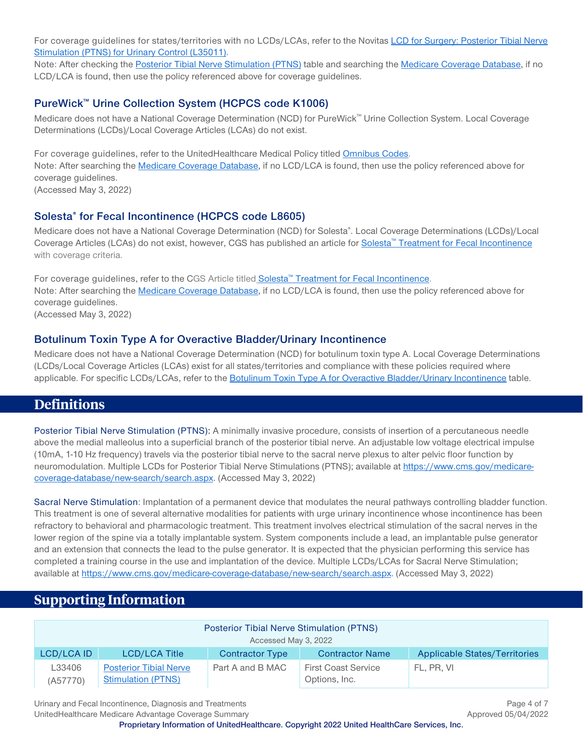For coverage guidelines for states/territories with no LCDs/LCAs, refer to the Novita[s LCD for Surgery: Posterior Tibial Nerve](https://www.cms.gov/medicare-coverage-database/details/lcd-details.aspx?LCDId=35011&ver=23&Date=&DocID=L35011&bc=iAAAABAAAAAA&)  [Stimulation \(PTNS\) for Urinary Control \(L35011\).](https://www.cms.gov/medicare-coverage-database/details/lcd-details.aspx?LCDId=35011&ver=23&Date=&DocID=L35011&bc=iAAAABAAAAAA&)

Note: After checking the [Posterior Tibial Nerve Stimulation \(PTNS\)](#page-3-5) table and searching the [Medicare Coverage Database,](http://www.cms.gov/medicare-coverage-database/overview-and-quick-search.aspx) if no LCD/LCA is found, then use the policy referenced above for coverage guidelines.

#### <span id="page-3-0"></span>**PureWick™ Urine Collection System (HCPCS code K1006)**

Medicare does not have a National Coverage Determination (NCD) for PureWick™ Urine Collection System. Local Coverage Determinations (LCDs)/Local Coverage Articles (LCAs) do not exist.

For coverage guidelines, refer to the UnitedHealthcare Medical Policy titled [Omnibus Codes.](https://www.uhcprovider.com/content/dam/provider/docs/public/policies/comm-medical-drug/omnibus-codes.pdf) Note: After searching the [Medicare Coverage Database,](http://www.cms.gov/medicare-coverage-database/overview-and-quick-search.aspx) if no LCD/LCA is found, then use the policy referenced above for coverage guidelines. (Accessed May 3, 2022)

#### <span id="page-3-1"></span>**Solesta® for Fecal Incontinence (HCPCS code L8605)**

Medicare does not have a National Coverage Determination (NCD) for Solesta®. Local Coverage Determinations (LCDs)/Local Coverage Articles (LCAs) do not exist, however, CGS has published an article for Solesta™ [Treatment for Fecal Incontinence](https://www.cgsmedicare.com/articles/cope33577b.html) with coverage criteria.

For coverage guidelines, refer to the CGS Article titled Solesta™ [Treatment for Fecal Incontinence.](https://www.cgsmedicare.com/articles/cope33577b.html) Note: After searching the [Medicare Coverage Database,](http://www.cms.gov/medicare-coverage-database/overview-and-quick-search.aspx) if no LCD/LCA is found, then use the policy referenced above for coverage guidelines. (Accessed May 3, 2022)

#### <span id="page-3-2"></span>**Botulinum Toxin Type A for Overactive Bladder/Urinary Incontinence**

Medicare does not have a National Coverage Determination (NCD) for botulinum toxin type A. Local Coverage Determinations (LCDs/Local Coverage Articles (LCAs) exist for all states/territories and compliance with these policies required where applicable. For specific LCDs/LCAs, refer to the [Botulinum Toxin Type A for Overactive Bladder/Urinary Incontinence](#page-4-0) table.

#### <span id="page-3-3"></span>**Definitions**

Posterior Tibial Nerve Stimulation (PTNS): A minimally invasive procedure, consists of insertion of a percutaneous needle above the medial malleolus into a superficial branch of the posterior tibial nerve. An adjustable low voltage electrical impulse (10mA, 1-10 Hz frequency) travels via the posterior tibial nerve to the sacral nerve plexus to alter pelvic floor function by neuromodulation. Multiple LCDs for Posterior Tibial Nerve Stimulations (PTNS); available a[t https://www.cms.gov/medicare](https://www.cms.gov/medicare-coverage-database/new-search/search.aspx)[coverage-database/new-search/search.aspx.](https://www.cms.gov/medicare-coverage-database/new-search/search.aspx) (Accessed May 3, 2022)

Sacral Nerve Stimulation: Implantation of a permanent device that modulates the neural pathways controlling bladder function. This treatment is one of several alternative modalities for patients with urge urinary incontinence whose incontinence has been refractory to behavioral and pharmacologic treatment. This treatment involves electrical stimulation of the sacral nerves in the lower region of the spine via a totally implantable system. System components include a lead, an implantable pulse generator and an extension that connects the lead to the pulse generator. It is expected that the physician performing this service has completed a training course in the use and implantation of the device. Multiple LCDs/LCAs for Sacral Nerve Stimulation; available at [https://www.cms.gov/medicare-coverage-database/new-search/search.aspx.](https://www.cms.gov/medicare-coverage-database/new-search/search.aspx) (Accessed May 3, 2022)

## <span id="page-3-4"></span>**Supporting Information**

<span id="page-3-5"></span>

| Posterior Tibial Nerve Stimulation (PTNS)<br>Accessed May 3, 2022 |                                                            |                        |                                             |                                      |
|-------------------------------------------------------------------|------------------------------------------------------------|------------------------|---------------------------------------------|--------------------------------------|
| LCD/LCA ID                                                        | LCD/LCA Title                                              | <b>Contractor Type</b> | <b>Contractor Name</b>                      | <b>Applicable States/Territories</b> |
| L33406<br>(A57770)                                                | <b>Posterior Tibial Nerve</b><br><b>Stimulation (PTNS)</b> | Part A and B MAC       | <b>First Coast Service</b><br>Options, Inc. | FL, PR, VI                           |

Urinary and Fecal Incontinence, Diagnosis and Treatments **Page 4 of 7** and Treatments **Page 4 of 7** and Treatments **Page 4 of 7** and Treatments **Page 4 of 7** and Treatments **Page 4 of 7** and Treatments **Page 4 of 7** and Tr

UnitedHealthcare Medicare Advantage Coverage Summary **Approved 05/04/2022** 

**Proprietary Information of UnitedHealthcare. Copyright 2022 United HealthCare Services, Inc.**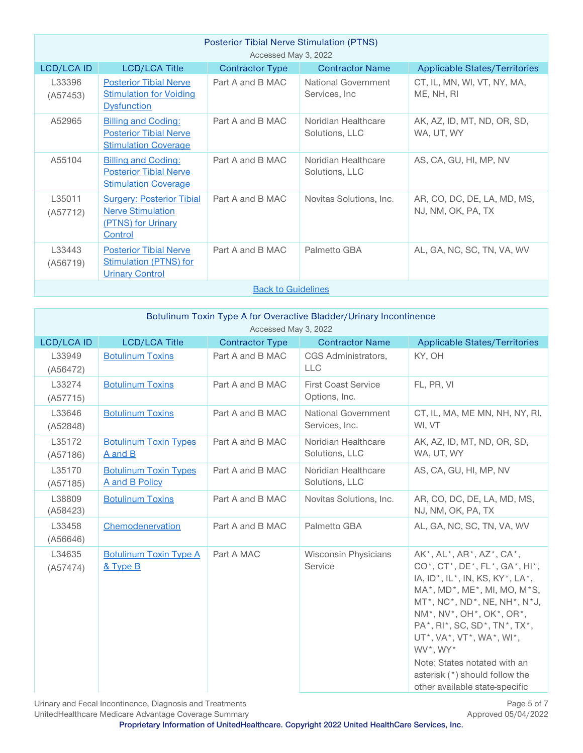| <b>Posterior Tibial Nerve Stimulation (PTNS)</b><br>Accessed May 3, 2022 |                                                                                               |                        |                                       |                                                   |
|--------------------------------------------------------------------------|-----------------------------------------------------------------------------------------------|------------------------|---------------------------------------|---------------------------------------------------|
| <b>LCD/LCA ID</b>                                                        | <b>LCD/LCA Title</b>                                                                          | <b>Contractor Type</b> | <b>Contractor Name</b>                | <b>Applicable States/Territories</b>              |
| L33396<br>(A57453)                                                       | <b>Posterior Tibial Nerve</b><br><b>Stimulation for Voiding</b><br><b>Dysfunction</b>         | Part A and B MAC       | National Government<br>Services, Inc. | CT, IL, MN, WI, VT, NY, MA,<br>ME, NH, RI         |
| A52965                                                                   | <b>Billing and Coding:</b><br><b>Posterior Tibial Nerve</b><br><b>Stimulation Coverage</b>    | Part A and B MAC       | Noridian Healthcare<br>Solutions, LLC | AK, AZ, ID, MT, ND, OR, SD,<br>WA, UT, WY         |
| A55104                                                                   | <b>Billing and Coding:</b><br><b>Posterior Tibial Nerve</b><br><b>Stimulation Coverage</b>    | Part A and B MAC       | Noridian Healthcare<br>Solutions, LLC | AS, CA, GU, HI, MP, NV                            |
| L35011<br>(A57712)                                                       | <b>Surgery: Posterior Tibial</b><br><b>Nerve Stimulation</b><br>(PTNS) for Urinary<br>Control | Part A and B MAC       | Novitas Solutions, Inc.               | AR, CO, DC, DE, LA, MD, MS,<br>NJ, NM, OK, PA, TX |
| L33443<br>(A56719)                                                       | <b>Posterior Tibial Nerve</b><br><b>Stimulation (PTNS) for</b><br><b>Urinary Control</b>      | Part A and B MAC       | Palmetto GBA                          | AL, GA, NC, SC, TN, VA, WV                        |
| <b>Back to Guidelines</b>                                                |                                                                                               |                        |                                       |                                                   |

<span id="page-4-0"></span>

| Botulinum Toxin Type A for Overactive Bladder/Urinary Incontinence<br>Accessed May 3, 2022 |                                                |                        |                                             |                                                                                                                                                                                                                                                                                                                                                                                                                                                                         |
|--------------------------------------------------------------------------------------------|------------------------------------------------|------------------------|---------------------------------------------|-------------------------------------------------------------------------------------------------------------------------------------------------------------------------------------------------------------------------------------------------------------------------------------------------------------------------------------------------------------------------------------------------------------------------------------------------------------------------|
| LCD/LCA ID                                                                                 | <b>LCD/LCA Title</b>                           | <b>Contractor Type</b> | <b>Contractor Name</b>                      | <b>Applicable States/Territories</b>                                                                                                                                                                                                                                                                                                                                                                                                                                    |
| L33949<br>(A56472)                                                                         | <b>Botulinum Toxins</b>                        | Part A and B MAC       | CGS Administrators.<br><b>LLC</b>           | KY, OH                                                                                                                                                                                                                                                                                                                                                                                                                                                                  |
| L33274<br>(A57715)                                                                         | <b>Botulinum Toxins</b>                        | Part A and B MAC       | <b>First Coast Service</b><br>Options, Inc. | FL, PR, VI                                                                                                                                                                                                                                                                                                                                                                                                                                                              |
| L33646<br>(A52848)                                                                         | <b>Botulinum Toxins</b>                        | Part A and B MAC       | National Government<br>Services, Inc.       | CT, IL, MA, ME MN, NH, NY, RI,<br>WI, VT                                                                                                                                                                                                                                                                                                                                                                                                                                |
| L35172<br>(A57186)                                                                         | <b>Botulinum Toxin Types</b><br>A and B        | Part A and B MAC       | Noridian Healthcare<br>Solutions, LLC       | AK, AZ, ID, MT, ND, OR, SD,<br>WA, UT, WY                                                                                                                                                                                                                                                                                                                                                                                                                               |
| L35170<br>(A57185)                                                                         | <b>Botulinum Toxin Types</b><br>A and B Policy | Part A and B MAC       | Noridian Healthcare<br>Solutions, LLC       | AS, CA, GU, HI, MP, NV                                                                                                                                                                                                                                                                                                                                                                                                                                                  |
| L38809<br>(A58423)                                                                         | <b>Botulinum Toxins</b>                        | Part A and B MAC       | Novitas Solutions, Inc.                     | AR, CO, DC, DE, LA, MD, MS,<br>NJ, NM, OK, PA, TX                                                                                                                                                                                                                                                                                                                                                                                                                       |
| L33458<br>(A56646)                                                                         | Chemodenervation                               | Part A and B MAC       | Palmetto GBA                                | AL, GA, NC, SC, TN, VA, WV                                                                                                                                                                                                                                                                                                                                                                                                                                              |
| L34635<br>(A57474)                                                                         | <b>Botulinum Toxin Type A</b><br>& Type B      | Part A MAC             | <b>Wisconsin Physicians</b><br>Service      | AK*, AL*, AR*, AZ*, CA*,<br>$CO^*$ , $CT^*$ , $DE^*$ , $FL^*$ , $GA^*$ , $HI^*$ ,<br>IA, ID <sup>*</sup> , IL <sup>*</sup> , IN, KS, KY <sup>*</sup> , LA <sup>*</sup> ,<br>MA*, MD*, ME*, MI, MO, M*S,<br>$MT^*$ , NC $^*$ , ND $^*$ , NE, NH $^*$ , N $^*$ J,<br>NM*, NV*, OH*, OK*, OR*,<br>PA*, RI*, SC, SD*, TN*, TX*,<br>UT*, VA*, VT*, WA*, WI*,<br>WV*, WY*<br>Note: States notated with an<br>asterisk (*) should follow the<br>other available state-specific |

Urinary and Fecal Incontinence, Diagnosis and Treatments<br>
UnitedHealthcare Medicare Advantage Coverage Summary<br>
2022/ Approved 05/04/2022

UnitedHealthcare Medicare Advantage Coverage Summary

**Proprietary Information of UnitedHealthcare. Copyright 2022 United HealthCare Services, Inc.**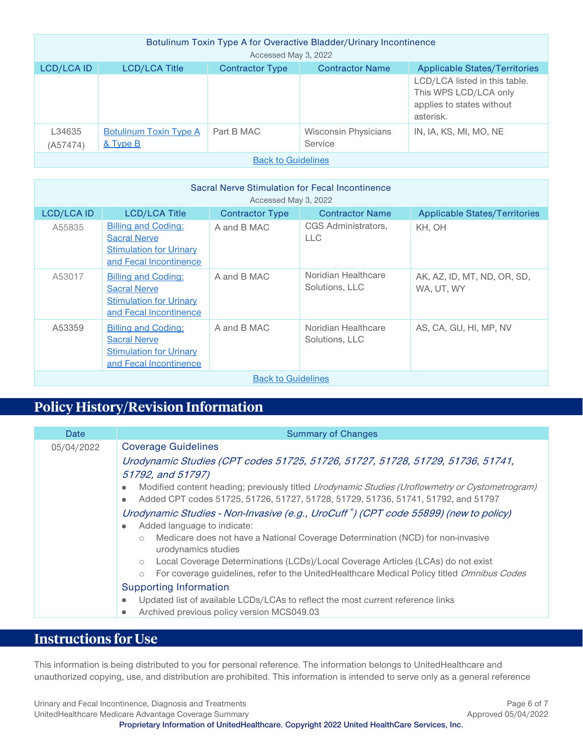| Botulinum Toxin Type A for Overactive Bladder/Urinary Incontinence |                                    |                        |                                 |                                                                                                  |
|--------------------------------------------------------------------|------------------------------------|------------------------|---------------------------------|--------------------------------------------------------------------------------------------------|
| Accessed May 3, 2022                                               |                                    |                        |                                 |                                                                                                  |
| <b>LCD/LCA ID</b>                                                  | <b>LCD/LCA Title</b>               | <b>Contractor Type</b> | <b>Contractor Name</b>          | <b>Applicable States/Territories</b>                                                             |
|                                                                    |                                    |                        |                                 | LCD/LCA listed in this table.<br>This WPS LCD/LCA only<br>applies to states without<br>asterisk. |
| L34635<br>(A57474)                                                 | Botulinum Toxin Type A<br>& Type B | Part B MAC             | Wisconsin Physicians<br>Service | IN, IA, KS, MI, MO, NE                                                                           |
| <b>Back to Guidelines</b>                                          |                                    |                        |                                 |                                                                                                  |

<span id="page-5-2"></span>

| Sacral Nerve Stimulation for Fecal Incontinence<br>Accessed May 3, 2022 |                                                                                                               |                        |                                       |                                           |
|-------------------------------------------------------------------------|---------------------------------------------------------------------------------------------------------------|------------------------|---------------------------------------|-------------------------------------------|
| <b>LCD/LCA ID</b>                                                       | <b>LCD/LCA Title</b>                                                                                          | <b>Contractor Type</b> | <b>Contractor Name</b>                | <b>Applicable States/Territories</b>      |
| A55835                                                                  | <b>Billing and Coding:</b><br><b>Sacral Nerve</b><br><b>Stimulation for Urinary</b><br>and Fecal Incontinence | A and B MAC            | CGS Administrators,<br><b>LLC</b>     | KH, OH                                    |
| A53017                                                                  | <b>Billing and Coding:</b><br><b>Sacral Nerve</b><br><b>Stimulation for Urinary</b><br>and Fecal Incontinence | A and B MAC            | Noridian Healthcare<br>Solutions, LLC | AK, AZ, ID, MT, ND, OR, SD,<br>WA, UT, WY |
| A53359                                                                  | <b>Billing and Coding:</b><br><b>Sacral Nerve</b><br><b>Stimulation for Urinary</b><br>and Fecal Incontinence | A and B MAC            | Noridian Healthcare<br>Solutions, LLC | AS, CA, GU, HI, MP, NV                    |
| <b>Back to Guidelines</b>                                               |                                                                                                               |                        |                                       |                                           |

# <span id="page-5-1"></span>**Policy History/Revision Information**

| Date       | <b>Summary of Changes</b>                                                                                                                                                                                                                                                                                                                                                                                                                                                                                                                                                                                                                                                                                                                                                                                          |
|------------|--------------------------------------------------------------------------------------------------------------------------------------------------------------------------------------------------------------------------------------------------------------------------------------------------------------------------------------------------------------------------------------------------------------------------------------------------------------------------------------------------------------------------------------------------------------------------------------------------------------------------------------------------------------------------------------------------------------------------------------------------------------------------------------------------------------------|
| 05/04/2022 | <b>Coverage Guidelines</b>                                                                                                                                                                                                                                                                                                                                                                                                                                                                                                                                                                                                                                                                                                                                                                                         |
|            | Urodynamic Studies (CPT codes 51725, 51726, 51727, 51728, 51729, 51736, 51741,<br>51792, and 51797)<br>Modified content heading; previously titled <i>Urodynamic Studies (Uroflowmetry or Cystometrogram)</i><br>٠<br>Added CPT codes 51725, 51726, 51727, 51728, 51729, 51736, 51741, 51792, and 51797<br>۰<br>Urodynamic Studies - Non-Invasive (e.g., UroCuff <sup>®</sup> ) (CPT code 55899) (new to policy)<br>Added language to indicate:<br>۰<br>Medicare does not have a National Coverage Determination (NCD) for non-invasive<br>$\circ$<br>urodynamics studies<br>Local Coverage Determinations (LCDs)/Local Coverage Articles (LCAs) do not exist<br>$\circ$<br>For coverage guidelines, refer to the UnitedHealthcare Medical Policy titled Omnibus Codes<br>$\circ$<br><b>Supporting Information</b> |
|            | Updated list of available LCDs/LCAs to reflect the most current reference links<br>۰                                                                                                                                                                                                                                                                                                                                                                                                                                                                                                                                                                                                                                                                                                                               |
|            | Archived previous policy version MCS049.03<br>٠                                                                                                                                                                                                                                                                                                                                                                                                                                                                                                                                                                                                                                                                                                                                                                    |

# <span id="page-5-0"></span>**Instructions for Use**

This information is being distributed to you for personal reference. The information belongs to UnitedHealthcare and unauthorized copying, use, and distribution are prohibited. This information is intended to serve only as a general reference